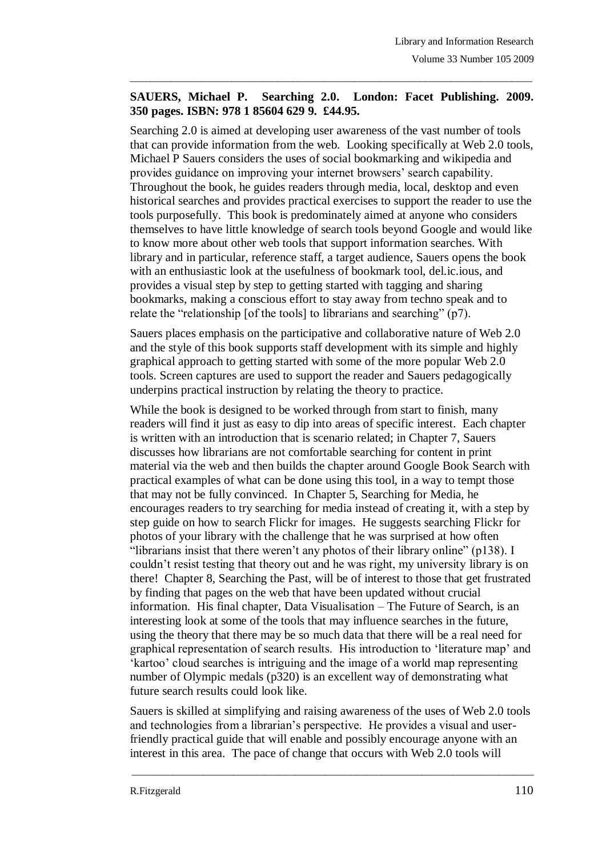## **SAUERS, Michael P. Searching 2.0. London: Facet Publishing. 2009. 350 pages. ISBN: 978 1 85604 629 9. £44.95.**

 $\_$  ,  $\_$  ,  $\_$  ,  $\_$  ,  $\_$  ,  $\_$  ,  $\_$  ,  $\_$  ,  $\_$  ,  $\_$  ,  $\_$  ,  $\_$  ,  $\_$  ,  $\_$  ,  $\_$  ,  $\_$  ,  $\_$  ,  $\_$  ,  $\_$  ,  $\_$  ,  $\_$  ,  $\_$  ,  $\_$  ,  $\_$  ,  $\_$  ,  $\_$  ,  $\_$  ,  $\_$  ,  $\_$  ,  $\_$  ,  $\_$  ,  $\_$  ,  $\_$  ,  $\_$  ,  $\_$  ,  $\_$  ,  $\_$  ,

Searching 2.0 is aimed at developing user awareness of the vast number of tools that can provide information from the web. Looking specifically at Web 2.0 tools, Michael P Sauers considers the uses of social bookmarking and wikipedia and provides guidance on improving your internet browsers" search capability. Throughout the book, he guides readers through media, local, desktop and even historical searches and provides practical exercises to support the reader to use the tools purposefully. This book is predominately aimed at anyone who considers themselves to have little knowledge of search tools beyond Google and would like to know more about other web tools that support information searches. With library and in particular, reference staff, a target audience, Sauers opens the book with an enthusiastic look at the usefulness of bookmark tool, del.ic.ious, and provides a visual step by step to getting started with tagging and sharing bookmarks, making a conscious effort to stay away from techno speak and to relate the "relationship [of the tools] to librarians and searching" (p7).

Sauers places emphasis on the participative and collaborative nature of Web 2.0 and the style of this book supports staff development with its simple and highly graphical approach to getting started with some of the more popular Web 2.0 tools. Screen captures are used to support the reader and Sauers pedagogically underpins practical instruction by relating the theory to practice.

While the book is designed to be worked through from start to finish, many readers will find it just as easy to dip into areas of specific interest. Each chapter is written with an introduction that is scenario related; in Chapter 7, Sauers discusses how librarians are not comfortable searching for content in print material via the web and then builds the chapter around Google Book Search with practical examples of what can be done using this tool, in a way to tempt those that may not be fully convinced. In Chapter 5, Searching for Media, he encourages readers to try searching for media instead of creating it, with a step by step guide on how to search Flickr for images. He suggests searching Flickr for photos of your library with the challenge that he was surprised at how often "librarians insist that there weren"t any photos of their library online" (p138). I couldn"t resist testing that theory out and he was right, my university library is on there! Chapter 8, Searching the Past, will be of interest to those that get frustrated by finding that pages on the web that have been updated without crucial information. His final chapter, Data Visualisation – The Future of Search, is an interesting look at some of the tools that may influence searches in the future, using the theory that there may be so much data that there will be a real need for graphical representation of search results. His introduction to "literature map" and "kartoo" cloud searches is intriguing and the image of a world map representing number of Olympic medals (p320) is an excellent way of demonstrating what future search results could look like.

Sauers is skilled at simplifying and raising awareness of the uses of Web 2.0 tools and technologies from a librarian"s perspective. He provides a visual and userfriendly practical guide that will enable and possibly encourage anyone with an interest in this area. The pace of change that occurs with Web 2.0 tools will

\_\_\_\_\_\_\_\_\_\_\_\_\_\_\_\_\_\_\_\_\_\_\_\_\_\_\_\_\_\_\_\_\_\_\_\_\_\_\_\_\_\_\_\_\_\_\_\_\_\_\_\_\_\_\_\_\_\_\_\_\_\_\_\_\_\_\_\_\_\_\_\_\_\_\_\_\_\_\_